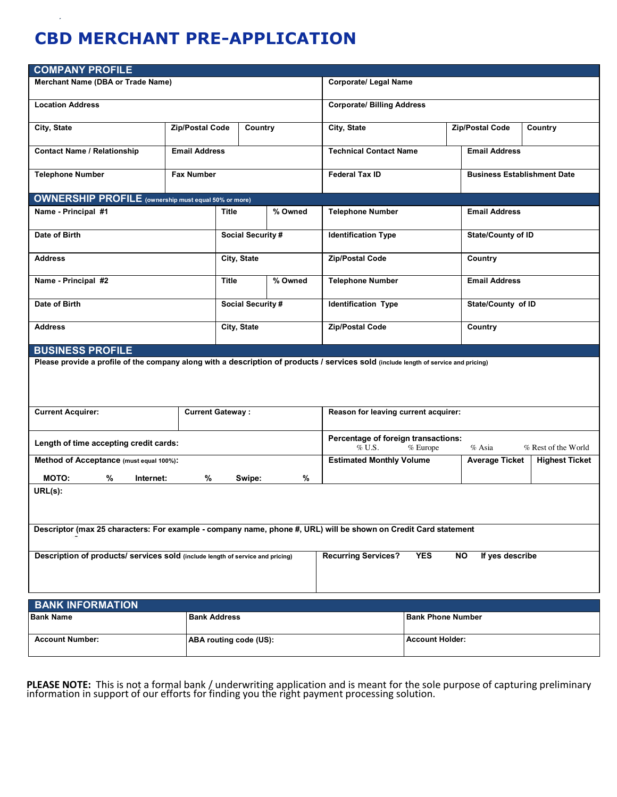# **CBD MERCHANT PRE-APPLICATION**

| <b>COMPANY PROFILE</b>                                                                                                                                     |                     |                            |                                      |                                                                                                 |                                    |                           |         |
|------------------------------------------------------------------------------------------------------------------------------------------------------------|---------------------|----------------------------|--------------------------------------|-------------------------------------------------------------------------------------------------|------------------------------------|---------------------------|---------|
| Merchant Name (DBA or Trade Name)                                                                                                                          |                     |                            |                                      | <b>Corporate/ Legal Name</b>                                                                    |                                    |                           |         |
| <b>Location Address</b>                                                                                                                                    |                     |                            |                                      | <b>Corporate/ Billing Address</b>                                                               |                                    |                           |         |
| City, State                                                                                                                                                |                     | Zip/Postal Code<br>Country |                                      | City, State                                                                                     |                                    | Zip/Postal Code           | Country |
| <b>Contact Name / Relationship</b>                                                                                                                         |                     | <b>Email Address</b>       |                                      | <b>Technical Contact Name</b>                                                                   |                                    | <b>Email Address</b>      |         |
| <b>Telephone Number</b>                                                                                                                                    | <b>Fax Number</b>   |                            |                                      | <b>Federal Tax ID</b>                                                                           | <b>Business Establishment Date</b> |                           |         |
| <b>OWNERSHIP PROFILE</b> (ownership must equal 50% or more)                                                                                                |                     |                            |                                      |                                                                                                 |                                    |                           |         |
| Name - Principal #1                                                                                                                                        |                     | % Owned<br>Title           |                                      | <b>Telephone Number</b>                                                                         | <b>Email Address</b>               |                           |         |
| Date of Birth                                                                                                                                              |                     | Social Security #          |                                      | <b>Identification Type</b>                                                                      |                                    | <b>State/County of ID</b> |         |
| <b>Address</b>                                                                                                                                             |                     | City, State                |                                      | Zip/Postal Code                                                                                 |                                    | Country                   |         |
| Name - Principal #2                                                                                                                                        |                     | % Owned<br><b>Title</b>    |                                      | <b>Telephone Number</b>                                                                         |                                    | <b>Email Address</b>      |         |
| Date of Birth                                                                                                                                              |                     | Social Security #          |                                      | <b>Identification Type</b>                                                                      |                                    | State/County of ID        |         |
| <b>Address</b>                                                                                                                                             |                     | City, State                |                                      | Zip/Postal Code                                                                                 |                                    | Country                   |         |
| <b>BUSINESS PROFILE</b>                                                                                                                                    |                     |                            |                                      |                                                                                                 |                                    |                           |         |
| Please provide a profile of the company along with a description of products / services sold (include length of service and pricing)                       |                     |                            |                                      |                                                                                                 |                                    |                           |         |
| <b>Current Acquirer:</b><br><b>Current Gateway:</b>                                                                                                        |                     |                            | Reason for leaving current acquirer: |                                                                                                 |                                    |                           |         |
| Length of time accepting credit cards:                                                                                                                     |                     |                            |                                      | Percentage of foreign transactions:<br>$\%$ U.S.<br>% Asia<br>% Rest of the World<br>$%$ Europe |                                    |                           |         |
| Method of Acceptance (must equal 100%):                                                                                                                    |                     |                            | <b>Estimated Monthly Volume</b>      |                                                                                                 | <b>Average Ticket</b>              | <b>Highest Ticket</b>     |         |
| <b>MOTO:</b><br>%<br>%<br>%<br>Swipe:<br>Internet:                                                                                                         |                     |                            |                                      |                                                                                                 |                                    |                           |         |
| URL(s):                                                                                                                                                    |                     |                            |                                      |                                                                                                 |                                    |                           |         |
| Descriptor (max 25 characters: For example - company name, phone #, URL) will be shown on Credit Card statement                                            |                     |                            |                                      |                                                                                                 |                                    |                           |         |
| Description of products/ services sold (include length of service and pricing)<br><b>YES</b><br><b>NO</b><br>If yes describe<br><b>Recurring Services?</b> |                     |                            |                                      |                                                                                                 |                                    |                           |         |
| <b>BANK INFORMATION</b>                                                                                                                                    |                     |                            |                                      |                                                                                                 |                                    |                           |         |
| <b>Bank Name</b>                                                                                                                                           | <b>Bank Address</b> |                            |                                      |                                                                                                 | <b>Bank Phone Number</b>           |                           |         |
| <b>Account Number:</b>                                                                                                                                     |                     | ABA routing code (US):     |                                      |                                                                                                 | <b>Account Holder:</b>             |                           |         |

PLEASE NOTE: This is not a formal bank / underwriting application and is meant for the sole purpose of capturing preliminary information in support of our efforts for finding you the right payment processing solution.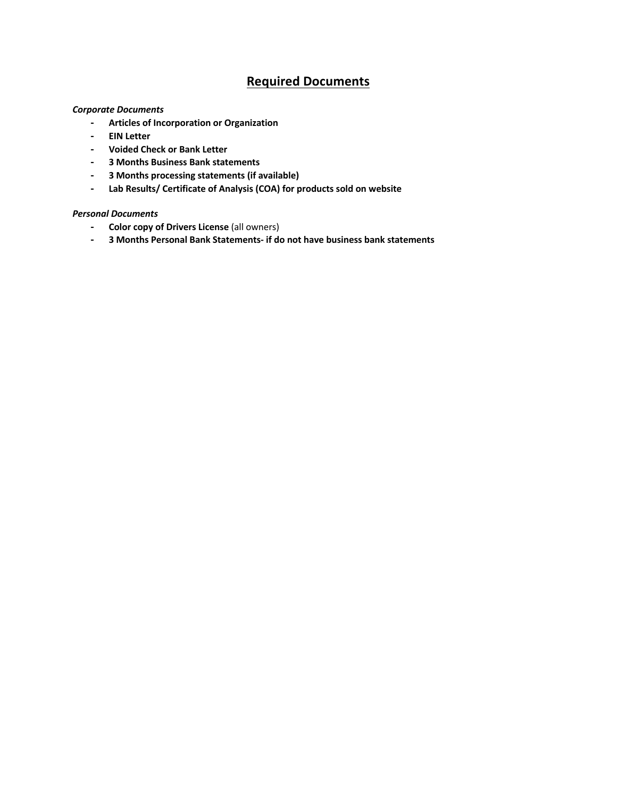## **Required Documents**

#### *Corporate Documents*

- **- Articles of Incorporation or Organization**
- **- EIN Letter**
- **- Voided Check or Bank Letter**
- **- 3 Months Business Bank statements**
- **- 3 Months processing statements (if available)**
- **- Lab Results/ Certificate of Analysis (COA) for products sold on website**

#### *Personal Documents*

- **- Color copy of Drivers License** (all owners)
- **- 3 Months Personal Bank Statements- if do not have business bank statements**